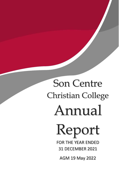# Son Centre Christian College Annual Report FOR THE YEAR ENDED 31 DECEMBER 2021

AGM 19 May 2022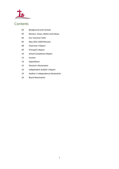

# **Contents**

- 03 Background and Context
- 03 Mission, Vision, Motto and Values
- 04 Our Common Faith
- 05 May 2021 AGM Minutes
- 08 Chairman's Report
- 09 Principal's Report
- 10 School Compliance Report
- 13 Income
- 14 Expenditure
- 15 Director's Declaration
- 16 Independent Auditor's Report
- 19 Auditor's Independence Declaration
- 20 Board Nomination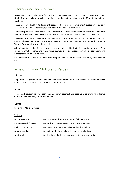## Background and Context

Son Centre Christian College was founded in 1993 as Son Centre Christian School. It began as a Prep to Grade 6 primary school in buildings at John Knox Presbyterian Church, with 46 students and two teachers.

The school moved in 1995 to its current location, a beautiful rural environment located on 25 acres at 141 Aerodrome Road, approximately five kilometres from central Swan Hill.

The school provides a Christ-centred, Bible-based curriculum in partnership with its parent community. Students are encouraged to live out a faithful Christian response in all that they do in their lives.

The school proprietor is Son Centre Christian School Ltd, whose members are both parents and nonparents who are committed to Christian education. The company members elect a Board, chaired by Warrick Grey, which governs the school.

All staff members at Son Centre are experienced and fully qualified in their areas of employment. They exemplify Christian morals and values within the workplace and broader community, each expressing a personal Christian commitment.

Enrolment for 2021 was 37 students from Prep to Grade 6 and the school was led by Brett Allen as Principal.

## Mission, Vision, Motto and Values

#### Mission

To partner with parents to provide quality education based on Christian beliefs, values and practices within a caring, secure and supportive school community.

#### Vision

To see each student able to reach their God-given potential and become a transforming influence within their community, nation and beyond.

#### Motto

Learning to Make a Difference

#### Values

| Honouring Christ:          | We place Jesus Christ at the centre of all that we do   |
|----------------------------|---------------------------------------------------------|
| Partnering with families:  | We work in cooperation with parents and guardians       |
| <b>Building community:</b> | We seek to ensure everyone knows that they belong       |
| Desiring excellence:       | We strive to do the very best that we can in all things |
| Serving others:            | We develop and celebrate everyone's God-given potential |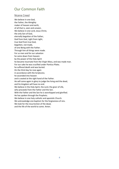## Our Common Faith

#### Nicene Creed

We believe in one God, the Father, the Almighty maker of heaven and earth, of all that is, seen and unseen. We believe in one Lord, Jesus Christ, the only Son of God, eternally begotten of the Father, God from God, Light from Light, true God from true God, begotten, not made, of one Being with the Father. Through him all things were made. For us men and for our salvation he came down from heaven: by the power of the Holy Spirit he became incarnate from the Virgin Mary, and was made man. For our sake he was crucified under Pontius Pilate; he suffered death and was buried. On the third day he rose again in accordance with the Scriptures; he ascended into heaven and is seated at the right hand of the Father. He will come again in glory to judge the living and the dead, and his kingdom will have no end. We believe in the Holy Spirit, the Lord, the giver of Life, who proceeds from the Father and the Son. With the Father and the Son he is worshipped and glorified. He has spoken through the Prophets. We believe in one holy catholic and apostolic Church. We acknowledge one baptism for the forgiveness of sins. We look for the resurrection of the dead, and the life of the world to come. Amen.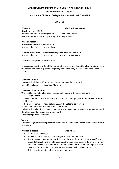## **Annual General Meeting of Son Centre Christian School Ltd 7pm Thursday 20th May 2021 Son Centre Christian College, Aerodrome Road, Swan Hill**

#### **MINUTES**

#### **Welcome Warrick Grey Chairman**

Devotion – John 3:16-17 Reflection on the 1956 Olympic Games – "The Friendly Games". If you don't offer a solution, you are part of the problem.

#### **Present/Apologies**

**As recorded in the attendance book.**

It was resolved to accept the apologies.

#### **Minutes of the Annual General Meeting – Thursday 23rd July 2020**

It was resolved to accept the minutes as a true and correct record

#### **Matters Arising from Minutes –** none

It was agreed that the order of the items on the agenda be adapted to allow for discussion of the reports and to take questions regarding the opportunity to work with Chairo Christian School.

#### **Election of Auditor**

It was resolved that MGR Accounting be elected as auditor for 2021. Moved Chris Lewis Seconded Maria Faraci

#### **Election of Board Members**

One eligible nomination has been received to fill Board of Directors positions.

• Helen Tilbrook

Financial members of the association only, who are not employees of the association were eligible to vote.

To be elected, nominees need at least 60% of the votes to be in favour.

Leanne McCann and Chris Lewis acted as scrutineers

Following the ballot, it was determined that the nominee had received the requirement and therefore were duly appointed to the board.

All voting slips will be shredded.

#### **Reports**

The following reports were presented as laid out in the booklet which was circulated prior to the meeting.

#### **Principal's Report Brett Allen**

- $\bullet$  2020 year of change.
- Two new staff arrived and three long-term staff members left.
- The impacts of government restrictions on the school community were significant. Students throughout the state were noted to have experienced a deficit in learning. However, in-school assessments of students at Son Centre show that impact to have been less. Some students do have gaps and measures have been put in place. This is a testament to staff/parents and students.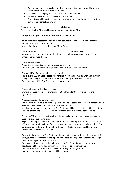- Government expected teachers to pivot learning between online and in-person, sometimes with as little as 48 hours' notice.
- Online learning highlighted IT needs at school and at home.
- 92% attendance was still achieved across the year.
- Students are all happy to be back on-site after home schooling which is a testament to the strong school community.

#### **Financial Report Chris Lewis**

#### As presented in the AGM booklet and via power-point during AGM

#### **Receipt and adoption of audited financial accounts for 2020**

It was resolved to accept the financial report as written and to receive and adopt the audited financial accounts for 2020. Moved Chris Lewis Seconded Maria Faraci

#### **Chairman's Report Warrick Grey**

A power point presentation about the discussions and proposal to work with Chairo Christian School was shown.

Questions were taken:

Would there be Son Centre input at governance level? Yes, there would be representation from Son Centre on the Chairo Board.

Why would Son Centre remain a separate entity? This is due to SES rating and associated funding. If Son Centre merges with Chairo, their rating would apply and there would be a loss in funding in the order of \$2-300,000. Therefore, for viability Son Centre will remain separate.

Who would own the buildings and land? Eventually Chairo would take ownership – a timeframe for this is written into the agreement.

Who is responsible for employment?

Chairo Board would have ultimate responsibility. The selection and interview process would be conducted in conjunction with Son Centre community.

An advantage of a merger means that Son Centre would have access to the Chairo system and pool of staff and there would be an obligation to secure staffing at Son Centre.

Chairo's AGM will be held next week and their association also needs to agree. Chairo also need to change their constitution.

A special meeting will be called at Son Centre to vote, possibly in September/October 2021. VRQA will make their decision after both Chairo and Son Centre agree and not before. Both parties are aiming for a start date of the 1<sup>st</sup> January 2022. Pro Legis (legal team) have advised this time frame is workable.

The day to day running of Son Centre would remain the same, with the Principal and staff having authority to manage school operations. There is no expectation for this to change. The main change is at governance level.

The physical distance means that a local group at Son Centre is extremely important. Details are still being worked through regarding association membership. The Board are open to questions at any time throughout the year and communication/general information will be sent out.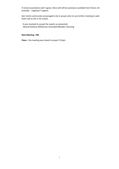If school associations don't agree, there will still be assistance available from Chairo, for example: - ongoing IT support.

Son Centre community encouraged to be in prayer prior to any further meeting to seek God's will as this is His school.

It was resolved to accept the reports as presented. Moved Anthony Williamson Seconded Melodie Townsing

#### **Next Meeting –TBC**

**Close –** the meeting was closed in prayer 9.15pm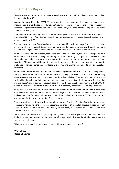## Chairman's Report

"Do not worry about tomorrow, for tomorrow will worry about itself. Each day has enough trouble of its own." Matthew 6:35

Among the many things that COVID-19 has brought us is the awareness that things can change in an instant. The plans we'd made for today can be thrown out the window before the day has even started, let alone the plans for tomorrow or next week. Despite this, our Board continues to plan for next year and the next five years.

The Bible verse immediately prior to the one above gives us the answer to be able to handle such unpredictability. "Seek first His kingdom and His righteousness, and all these things will be given to you as well." Matthew 6:33

This has always been our Board's primary goal, to seek and follow His guidance first, in every aspect of governing what is His school. Despite the many surprises that have come our way this past year, none of them has caught God by surprise and He has continued to give us all the things we need.

Our Board included Helen Tilbrook, Leanne McCann, Chris Lewis and Hayden Price. These people have continued to seek first God's kingdom and righteousness, and they have governed the school under His leadership. Helen resigned near the end of 2021 after 10 years of servanthood as our Board secretary. Although she will be greatly missed, she assured us that she is contactable if we need to make use of her experience and knowledge at any time, and Leanne stepped up to take on the role of secretary.

Our desire to merge with Chairo Christian School hit a legal roadblock in 2021 so, rather than pursuing this path, we entered into a Memorandum of Understanding (MoU) with Chairo instead. This basically gives us access to many things that Chairo has, including policies, IT support and marketing advice, while still maintaining our independence. We have seen the benefits of this in our new IT system that mirrors Chairo's and in our new Facebook page that they helped to set up and monitor. This MoU with Chairo is an excellent result for us after many years of searching for another school to partner with.

Our principal, Brett Allen, announced that his retirement would be at the end of 2021. Words can't explain how honoured we feel to have had him leading our school over the past two tumultuous years, and we thank him for the work he's done to keep the school going through the COVID-19 closures and also prepare for the next stage of Son Centre's journey.

That journey for us continued with the search for our new Principal. Christian Education National was engaged to help us with the process, as appointing a principal is the single biggest and most important decision our Board will ever make. As a result, we had Kristy Wilson ready to take over when Brett finished at the end of the year.

We will continue to seek God first, trusting that by doing so we will be given all that we need. We have had this proven to us last year, as we have year after year. We look forward excitedly to whatever the year ahead has in store.

"God is our refuge and strength, an ever-present help in trouble." Psalm 46:1

**Warrick Grey Board Chairman**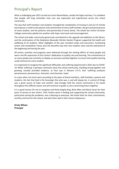## Principal's Report

What a challenging year 2021 turned out to be! Nevertheless, amidst the highs and lows, I'm confident that people will long remember how care was expressed and experienced across the school community.

The way that staff members and students managed the complexities of moving in and out of remote learning was a credit to the passion and commitment of every staff member, the grit and perseverance of every student, and the patience and partnership of every family. The whole Son Centre Christian College community upheld one another with hope, hard work and encouragement.

The school and wider community generously contributed to the upgrade and additions to the library, and the continuation of the Stephanie Alexander Kitchen Garden Program supported the health and wellbeing of all students. Other highlights of the year included camps and excursions, fundraising events and competition Futsal, plus the beautiful way that new students were warmly welcomed at the beginning and during the year.

All events, activities and programs were delivered through the sterling efforts of many people and were a terrific expression of Son Centre's dedication to quality care and learning. The commitment of so many people was certainly on display as everyone worked together to ensure that quality learning could continue for every student.

It is important to recognise the significant difficulties and suffering experienced in 2021 due to COVID-19. While 'suffering' is perhaps a dramatic word, the school community, standing strong together and growing, actually provided evidence, as Paul says in Romans 5:3–5, that 'suffering produces perseverance; perseverance, character; and character, hope'.

In a year when not much went according to the plans of board members, staff members, parents and students, the fact that God is the Sovereign One who was, is and will always be, in control of things was a great source of hope and comfort. God lovingly held the school community in his hands throughout this difficult season and will continue to guide us into a promising future together.

It is a great honour for me to recognise and thank Angela King, Brett Allen and Maria Faraci for their years of service to Son Centre. Their tireless work in leading and supporting the school community, particularly during the pandemic, was a blessing to everyone. We thank them for their commitment, sacrifice and love for the school, and wish them well in their future endeavours.

**Kristy Wilson Principal**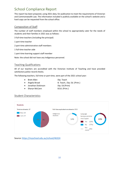# School Compliance Report

This report has been prepared, using 2021 data, for publication to meet the requirements of Victorian and Commonwealth Law. The information included is publicly available on the school's website and a hard copy can be requested from the school office.

#### Composition of Staff

The number of staff members employed within the school to appropriately cater for the needs of students and their families in 2021 was as follows:

3 full-time teachers (including the principal)

- 1 part-time teacher
- 2 part-time administrative staff members
- 1 full-time teacher aide
- 1 part-time learning support staff member

Note: the school did not have any Indigenous personnel.

#### Teaching Qualifications

All of our teachers are accredited with the Victorian Institute of Teaching and have provided satisfactory police record checks.

The following teachers, full-time or part-time, were part of the 2021 school year:

- 
- Angela Broad B. Teach.; Dip. Ed. (Prim.)
- **Brett Allen** Dip. Teach
- Jonathan Dickinson Dip. Ed (Prim)
- Sharyn McCann B.Ed. (Prim.)

## Student Characteristics



Source[: https://myschool.edu.au/school/46324](https://myschool.edu.au/school/46324)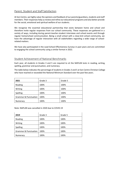## Parent, Student and Staff Satisfaction

At Son Centre, we highly value the opinions and feedback of our parents/guardians, students and staff members. Their responses help us review and refine our educational programs and also better provide for the social, emotional and spiritual welfare of our students.

We recognise the essential educational partnership that exists between home and school and therefore invite regular responses from our school community. These responses are gathered in a variety of ways, including during parent-teacher-student interviews and school events and through regular home/school communication. Being a small school with a close-knit school community, we have the advantage of regular interaction with all stakeholders regarding a wide range of schoolrelated matters.

We have also participated in the Lead School Effectiveness Surveys in past years and are committed to engaging the school community using a similar format in 2022.

#### Student Achievement of National Benchmarks

Each year, all students in Grades 3 and 5 are required to sit the NAPLAN tests in reading, writing, spelling, grammar and punctuation, and numeracy.

The table below indicates the percentage of students in Grades 3 and 5 at Son Centre Christian College who have reached or exceeded the National Minimum Standard over the past few years.

| 2021                             | Grade 3 | Grade 5 |
|----------------------------------|---------|---------|
| Reading                          | 100%    | 100%    |
| Writing                          | 100%    | 100%    |
| Spelling                         | 100%    | 100%    |
| <b>Grammar &amp; Punctuation</b> | 100%    | 100%    |
| Numeracy                         | 100%    | 100%    |

Note: NAPLAN was cancelled in 2020 due to COVID-19

| 2019                             | Grade 3 | Grade 5 |
|----------------------------------|---------|---------|
| Reading                          | 100%    | 100%    |
| Writing                          | 100%    | 100%    |
| Spelling                         | 100%    | 100%    |
| <b>Grammar &amp; Punctuation</b> | 100%    | 100%    |
| Numeracy                         | 100%    | 100%    |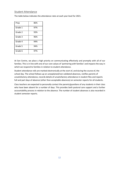#### Student Attendance

The table below indicates the attendance rates at each year level for 2021.

| Prep    | 86% |  |
|---------|-----|--|
| Grade 1 | 97% |  |
| Grade 2 | 93% |  |
| Grade 3 | 96% |  |
| Grade 4 | 94% |  |
| Grade 5 | 94% |  |
| Grade 6 | 97% |  |

At Son Centre, we place a high priority on communicating effectively and promptly with all of our families. This is in line with one of our core values of 'partnering with families' and impacts the way in which we respond to families in relation to student attendance.

Student attendance rolls are marked electronically at the start of, and during the course of, the school day. The school follows up on unexplained/non-validated absences, notifies parents of unsatisfactory attendance, records details of unsatisfactory attendance in student files and reports full and part days of absence (other than acceptable absences) on semester reports for all students.

Class teachers are expected to personally contact the parents/guardians of any students in their class who have been absent for a number of days. This provides both pastoral care support and a further accountability process in relation to the absence. The number of student absences is also recorded in student semester reports.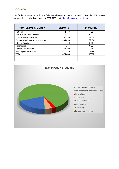## Income

For further information, or for the full financial report for the year ended 31 December 2021, please contact the school office directly on 5032 4199 or at [admin@soncentre.vic.edu.au.](mailto:admin@soncentre.vic.edu.au)

| <b>2021 INCOME SUMMARY</b>            | INCOME (\$) | INCOME (%) |
|---------------------------------------|-------------|------------|
| <b>Tuition Fees</b>                   | 42,753      | 4.90       |
| Non-Tuition Fees & Levies             | 6,715       | 0.77       |
| <b>State Government Grants</b>        | 167,799     | 19.23      |
| <b>Commonwealth Government Grants</b> | 634,668     | 72.73      |
| Interest Received                     |             | 0.00       |
| Fundraising                           | 256         | 0.03       |
| Sundry/Other Income                   | 23,409      | 2.34       |
| <b>Building Fund Donations</b>        | 40          | 0.005      |
| <b>TOTAL</b>                          | 875,640     | 100%       |
|                                       |             |            |

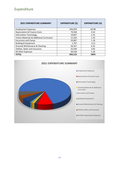# Expenditure

| <b>2021 EXPENDITURE SUMMARY</b>                      | <b>EXPENDITURE (\$)</b> | <b>EXPENDITURE (%)</b> |
|------------------------------------------------------|-------------------------|------------------------|
| <b>Employment Expenses</b>                           | 594,878                 | 69.98                  |
| Depreciation & Finance Costs                         | 79,358                  | 9.33                   |
| <b>Information Technology</b>                        | 19,837                  | 2.33                   |
| <b>Tuition Materials &amp; Additional Curriculum</b> | 12,165                  | 1.43                   |
| <b>Excursions and Camps</b>                          | 10,067                  | 1.18                   |
| <b>Building &amp; Equipment</b>                      | 1,797                   | 0.21                   |
| <b>Grounds Maintenance &amp; Cleaning</b>            | 56,357                  | 6.42                   |
| Utilities, Rates and Insurance                       | 32,540                  | 3.83                   |
| All Other Expenses                                   | 44,918                  | 5.28                   |
| <b>TOTAL</b>                                         | 850,123                 | 100%                   |

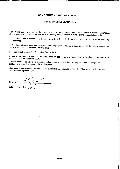## SON CENTRE CHRISTIAN SCHOOL LTD

#### **DIRECTOR'S DECLARATION**

The director has determined that the company is not a reporting entity and that this special purpose financial report should be prepared in accordance with the accounting policies outlined in Note 1 to the financial statements.

In accordance with a resolution of the director of Son Centre Christian School Ltd, the director of the company declares that:

1. The financial statements and notes, as set out on pages 1 to 13, are in accordance with the Australian Charities and Not-for-profits Commission Act 2012 and:

a) comply with the Australian Accounting Standards; and

b) give a true and fair view of the Company's financial position as at 31 December 2021 and of its performance for the year ended 31 December 2021.

2. In the director's opinion there are reasonable grounds to believe that the company will be able to pay its debts as and when they become due and payable.

This declaration is signed in accordance with subsection 60.15 (2) of the Australian Charities and Not-for-profits Commission Regulation 2013.

**Director**  $2S$ Date

Page 13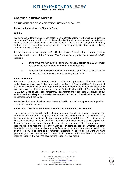## KELLY+PARTNERS | MGRV CHARTERED ACCOUNTANTS

#### **INDEPENDENT AUDITOR'S REPORT**

#### **TO THE MEMBERS OF SON CENTRE CHRISTIAN SCHOOL LTD**

#### **Report on the Audit of the Financial Report**

#### **Opinion**

We have audited the financial report of Son Centre Christian School Ltd, which comprises the statement of financial position as at 31 December 2021, and the statement of comprehensive income, statement of changes in equity and statement of cash flows for the year then ended, and notes to the financial statements, including a summary of significant accounting policies, and the directors' declaration.

In our opinion, the financial report of Son Centre Christian School Ltd has been prepared in accordance with Div 60 of the *Australian Charities and Not-for-profits Commission Act 2012*, including:

- a. giving a true and fair view of the company's financial position as at 31 December 2021 and of its performance for the year then ended; and
- b. complying with Australian Accounting Standards and Div 60 of the *Australian Charities and Not-for-profits Commission Regulation 2013*.

#### **Basis for Opinion**

We conducted our audit in accordance with Australian Auditing Standards. Our responsibilities under those standards are further described in the Auditor's Responsibilities for the Audit of the Financial Report section of our report. We are independent of the company in accordance with the ethical requirements of the Accounting Professional and Ethical Standards Board's APES 110: *Code of Ethics for Professional Accountants* (the Code) that are relevant to our audit of the financial report in Australia. We have also fulfilled our other ethical responsibilities in accordance with the Code.

We believe that the audit evidence we have obtained is sufficient and appropriate to provide a basis for our audit opinion.

#### **Information Other than the Financial Report and Auditor's Report Thereon**

The directors are responsible for the other information. The other information comprises the information included in the company's annual report for the year ended 31 December 2021, but does not include the financial report and our auditor's report thereon. Our opinion on the financial report does not cover the other information and accordingly we do not express any form of assurance conclusion thereon. In connection with our audit of the financial report, our responsibility is to read the other information and, in doing so, consider whether the other information is materially inconsistent with the financial report or our knowledge obtained in the audit or otherwise appears to be materially misstated. If, based on the work we have performed, we conclude that there is a material misstatement of this other information, we are required to report that fact. We have nothing to report in this regard.

**Kelly Partners (Bendigo) Pty Ltd** ABN 99 657 000 989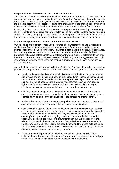#### **Responsibilities of the Directors for the Financial Report**

The directors of the Company are responsible for the preparation of the financial report that gives a true and fair view in accordance with Australian Accounting Standards and the *Australian Charities and Not-for-profits Commission Act 2012* and for such internal control as the directors determine is necessary to enable the preparation of the financial report that gives a true and fair view and is free from material misstatement, whether due to fraud or error.

In preparing the financial report, the directors are responsible for assessing the company's ability to continue as a going concern, disclosing, as applicable, matters related to going concern and using the going concern basis of accounting unless the directors either intend to liquidate the company or to cease operations, or have no realistic alternative but to do so.

#### **Auditor's Responsibilities for the Audit of the Financial Report**

Our objectives are to obtain reasonable assurance about whether the financial report as a whole is free from material misstatement, whether due to fraud or error, and to issue an auditor's report that includes our opinion. Reasonable assurance is a high level of assurance, but is not a guarantee that an audit conducted in accordance with Australian Auditing Standards will always detect a material misstatement when it exists. Misstatements can arise from fraud or error and are considered material if, individually or in the aggregate, they could reasonably be expected to influence the economic decisions of users taken on the basis of the financial report.

As part of an audit in accordance with the Australian Auditing Standards, we exercise professional judgement and maintain professional scepticism throughout the audit. We also:

- Identify and assess the risks of material misstatement of the financial report, whether due to fraud or error, design and perform audit procedures responsive to those risks, and obtain audit evidence that is sufficient and appropriate to provide a basis for our opinion. The risk of not detecting a material misstatement resulting from fraud is higher than for one resulting from error, as fraud may involve collusion, forgery, intentional omissions, misrepresentations, or the override of internal control.
- Obtain an understanding of internal control relevant to the audit in order to design audit procedures that are appropriate in the circumstances, but not for the purpose of expressing an opinion on the effectiveness of the company's internal control.
- Evaluate the appropriateness of accounting policies used and the reasonableness of accounting estimates and related disclosures made by the directors.
- Conclude on the appropriateness of the director's use of the going concern basis of accounting and, based on the audit evidence obtained, whether a material uncertainty exists related to events or conditions that may cast significant doubt on the company's ability to continue as a going concern. If we conclude that a material uncertainty exists, we are required to draw attention in our auditor's report to the related disclosures in the financial report or, if such disclosures are inadequate, to modify our opinion. Our conclusions are based on the audit evidence obtained up to the date of our auditor's report. However, future events or conditions may cause the company to cease to continue as a going concern.
- Evaluate the overall presentation, structure and content of the financial report, including the disclosures, and whether the financial report represents the underlying transactions and events in a manner that achieves fair presentation.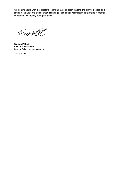We communicate with the directors regarding, among other matters, the planned scope and timing of the audit and significant audit findings, including any significant deficiencies in internal control that we identify during our audit.

Waxn Sell

**Warren Pollock KELLY PARTNERS** bendigo@kellypartners.com.au

22 April 2022